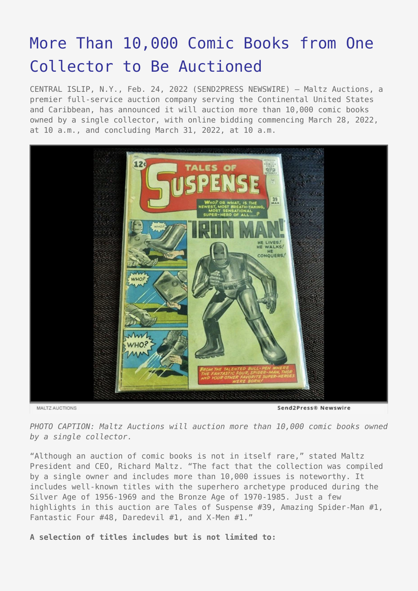# [More Than 10,000 Comic Books from One](https://www.send2press.com/wire/more-than-10000-comic-books-from-one-collector-to-be-auctioned/) [Collector to Be Auctioned](https://www.send2press.com/wire/more-than-10000-comic-books-from-one-collector-to-be-auctioned/)

CENTRAL ISLIP, N.Y., Feb. 24, 2022 (SEND2PRESS NEWSWIRE) — Maltz Auctions, a premier full-service auction company serving the Continental United States and Caribbean, has announced it will auction more than 10,000 comic books owned by a single collector, with online bidding commencing March 28, 2022, at 10 a.m., and concluding March 31, 2022, at 10 a.m.



MALTZ AUCTIONS

Send2Press® Newswire

*PHOTO CAPTION: Maltz Auctions will auction more than 10,000 comic books owned by a single collector.*

"Although an auction of comic books is not in itself rare," stated Maltz President and CEO, Richard Maltz. "The fact that the collection was compiled by a single owner and includes more than 10,000 issues is noteworthy. It includes well-known titles with the superhero archetype produced during the Silver Age of 1956-1969 and the Bronze Age of 1970-1985. Just a few highlights in this auction are Tales of Suspense #39, Amazing Spider-Man #1, Fantastic Four #48, Daredevil #1, and X-Men #1."

**A selection of titles includes but is not limited to:**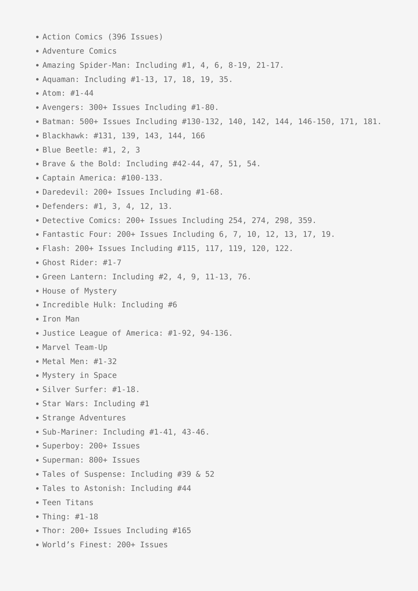- Action Comics (396 Issues) Adventure Comics Amazing Spider-Man: Including #1, 4, 6, 8-19, 21-17. • Aquaman: Including #1-13, 17, 18, 19, 35. Atom: #1-44 Avengers: 300+ Issues Including #1-80. Batman: 500+ Issues Including #130-132, 140, 142, 144, 146-150, 171, 181. Blackhawk: #131, 139, 143, 144, 166 Blue Beetle: #1, 2, 3 Brave & the Bold: Including #42-44, 47, 51, 54. Captain America: #100-133. Daredevil: 200+ Issues Including #1-68. Defenders: #1, 3, 4, 12, 13. Detective Comics: 200+ Issues Including 254, 274, 298, 359. Fantastic Four: 200+ Issues Including 6, 7, 10, 12, 13, 17, 19. Flash: 200+ Issues Including #115, 117, 119, 120, 122. Ghost Rider: #1-7 Green Lantern: Including #2, 4, 9, 11-13, 76. • House of Mystery • Incredible Hulk: Including #6 • Iron Man Justice League of America: #1-92, 94-136. • Marvel Team-Up Metal Men: #1-32 Mystery in Space Silver Surfer: #1-18. • Star Wars: Including #1 • Strange Adventures • Sub-Mariner: Including #1-41, 43-46. Superboy: 200+ Issues Superman: 800+ Issues • Tales of Suspense: Including #39 & 52 Tales to Astonish: Including #44 • Teen Titans
- Thing: #1-18
- Thor: 200+ Issues Including #165
- World's Finest: 200+ Issues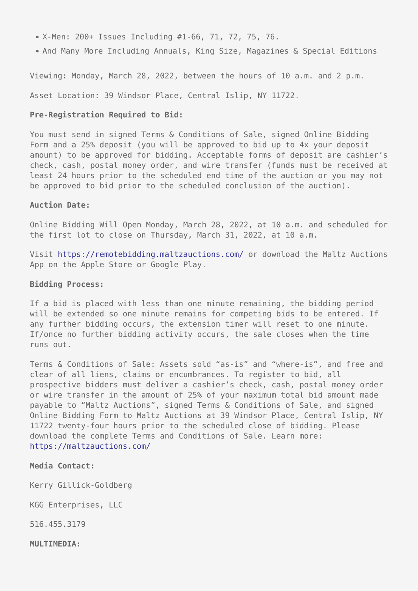- X-Men: 200+ Issues Including #1-66, 71, 72, 75, 76.
- And Many More Including Annuals, King Size, Magazines & Special Editions

Viewing: Monday, March 28, 2022, between the hours of 10 a.m. and 2 p.m.

Asset Location: 39 Windsor Place, Central Islip, NY 11722.

#### **Pre-Registration Required to Bid:**

You must send in signed Terms & Conditions of Sale, signed Online Bidding Form and a 25% deposit (you will be approved to bid up to 4x your deposit amount) to be approved for bidding. Acceptable forms of deposit are cashier's check, cash, postal money order, and wire transfer (funds must be received at least 24 hours prior to the scheduled end time of the auction or you may not be approved to bid prior to the scheduled conclusion of the auction).

#### **Auction Date:**

Online Bidding Will Open Monday, March 28, 2022, at 10 a.m. and scheduled for the first lot to close on Thursday, March 31, 2022, at 10 a.m.

Visit<https://remotebidding.maltzauctions.com/> or download the Maltz Auctions App on the Apple Store or Google Play.

### **Bidding Process:**

If a bid is placed with less than one minute remaining, the bidding period will be extended so one minute remains for competing bids to be entered. If any further bidding occurs, the extension timer will reset to one minute. If/once no further bidding activity occurs, the sale closes when the time runs out.

Terms & Conditions of Sale: Assets sold "as-is" and "where-is", and free and clear of all liens, claims or encumbrances. To register to bid, all prospective bidders must deliver a cashier's check, cash, postal money order or wire transfer in the amount of 25% of your maximum total bid amount made payable to "Maltz Auctions", signed Terms & Conditions of Sale, and signed Online Bidding Form to Maltz Auctions at 39 Windsor Place, Central Islip, NY 11722 twenty-four hours prior to the scheduled close of bidding. Please download the complete Terms and Conditions of Sale. Learn more: <https://maltzauctions.com/>

## **Media Contact:**

Kerry Gillick-Goldberg

KGG Enterprises, LLC

516.455.3179

**MULTIMEDIA:**